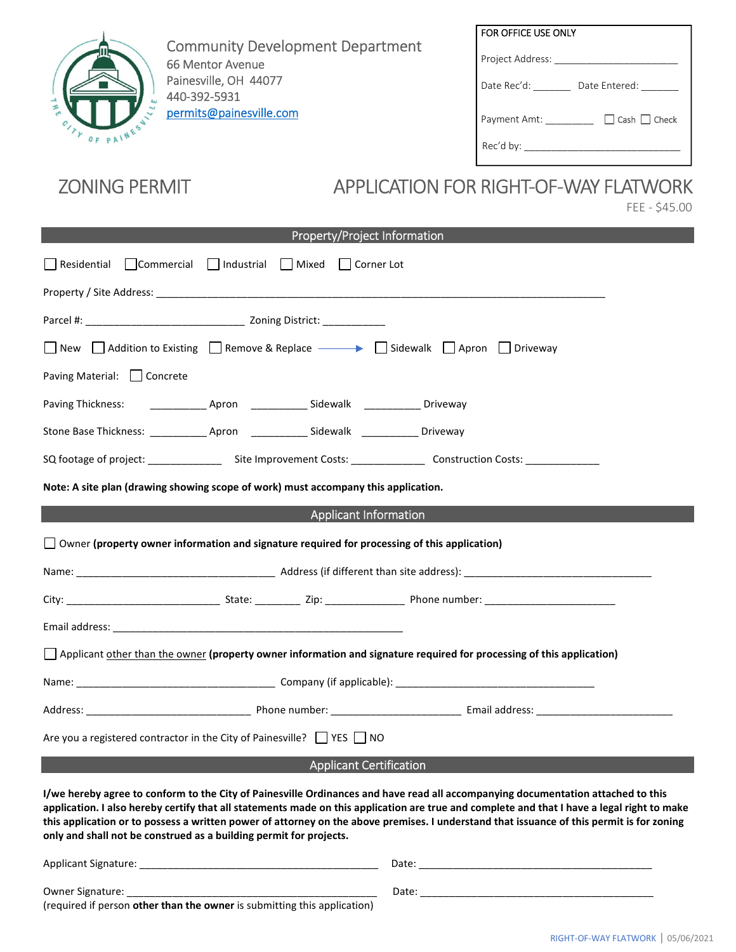

Community Development Department 66 Mentor Avenue Painesville, OH 44077 440-392-5931 permits@painesville.com

| FOR OFFICE USE ONLY                      |
|------------------------------------------|
| Project Address:                         |
| Date Rec'd:<br>Date Entered:             |
| $\Box$ Cash $\Box$ Check<br>Payment Amt: |
| Rec'd by:                                |

# ZONING PERMIT APPLICATION FOR RIGHT-OF-WAY FLATWORK

FEE - \$45.00

| <b>Property/Project Information</b>                                                                                                                                                                                                                                                                                                                                                                                                                                                                |  |  |  |
|----------------------------------------------------------------------------------------------------------------------------------------------------------------------------------------------------------------------------------------------------------------------------------------------------------------------------------------------------------------------------------------------------------------------------------------------------------------------------------------------------|--|--|--|
| Residential Commercial Industrial Mixed<br>Corner Lot                                                                                                                                                                                                                                                                                                                                                                                                                                              |  |  |  |
|                                                                                                                                                                                                                                                                                                                                                                                                                                                                                                    |  |  |  |
|                                                                                                                                                                                                                                                                                                                                                                                                                                                                                                    |  |  |  |
| New $\bigcap$ Addition to Existing $\bigcap$ Remove & Replace $\longrightarrow$ $\bigcap$ Sidewalk $\bigcap$ Apron $\bigcap$ Driveway                                                                                                                                                                                                                                                                                                                                                              |  |  |  |
| Paving Material:     Concrete                                                                                                                                                                                                                                                                                                                                                                                                                                                                      |  |  |  |
|                                                                                                                                                                                                                                                                                                                                                                                                                                                                                                    |  |  |  |
|                                                                                                                                                                                                                                                                                                                                                                                                                                                                                                    |  |  |  |
| SQ footage of project: ___________________Site Improvement Costs: __________________Construction Costs: _______________                                                                                                                                                                                                                                                                                                                                                                            |  |  |  |
| Note: A site plan (drawing showing scope of work) must accompany this application.                                                                                                                                                                                                                                                                                                                                                                                                                 |  |  |  |
| <b>Applicant Information</b>                                                                                                                                                                                                                                                                                                                                                                                                                                                                       |  |  |  |
| □ Owner (property owner information and signature required for processing of this application)                                                                                                                                                                                                                                                                                                                                                                                                     |  |  |  |
|                                                                                                                                                                                                                                                                                                                                                                                                                                                                                                    |  |  |  |
|                                                                                                                                                                                                                                                                                                                                                                                                                                                                                                    |  |  |  |
|                                                                                                                                                                                                                                                                                                                                                                                                                                                                                                    |  |  |  |
| $\Box$ Applicant other than the owner (property owner information and signature required for processing of this application)                                                                                                                                                                                                                                                                                                                                                                       |  |  |  |
|                                                                                                                                                                                                                                                                                                                                                                                                                                                                                                    |  |  |  |
|                                                                                                                                                                                                                                                                                                                                                                                                                                                                                                    |  |  |  |
| Are you a registered contractor in the City of Painesville? VES NO                                                                                                                                                                                                                                                                                                                                                                                                                                 |  |  |  |
| <b>Applicant Certification</b>                                                                                                                                                                                                                                                                                                                                                                                                                                                                     |  |  |  |
| I/we hereby agree to conform to the City of Painesville Ordinances and have read all accompanying documentation attached to this<br>application. I also hereby certify that all statements made on this application are true and complete and that I have a legal right to make<br>this application or to possess a written power of attorney on the above premises. I understand that issuance of this permit is for zoning<br>only and shall not be construed as a building permit for projects. |  |  |  |
|                                                                                                                                                                                                                                                                                                                                                                                                                                                                                                    |  |  |  |
|                                                                                                                                                                                                                                                                                                                                                                                                                                                                                                    |  |  |  |